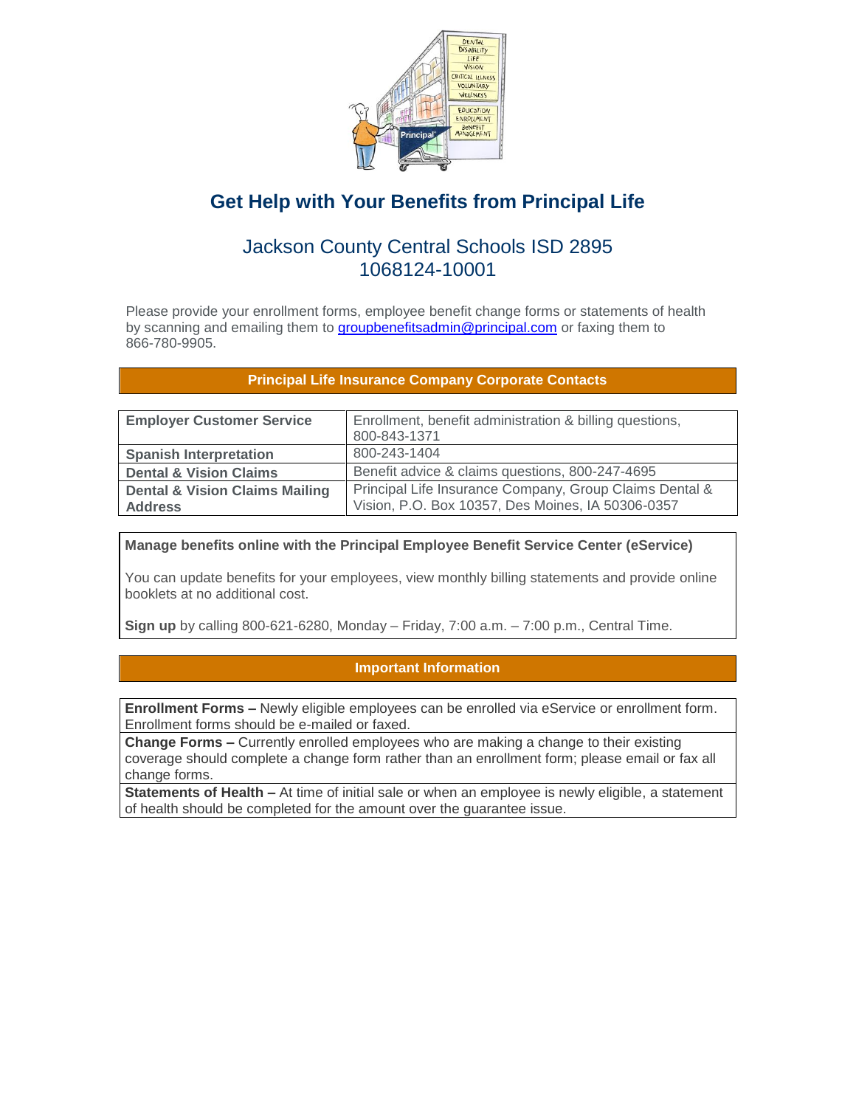

# **Get Help with Your Benefits from Principal Life**

## Jackson County Central Schools ISD 2895 1068124-10001

Please provide your enrollment forms, employee benefit change forms or statements of health by scanning and emailing them to [groupbenefitsadmin@principal.com](mailto:groupbenefitsadmin@principal.com) or faxing them to 866-780-9905.

## **Principal Life Insurance Company Corporate Contacts**

| <b>Employer Customer Service</b>                            | Enrollment, benefit administration & billing questions,<br>800-843-1371                                      |  |
|-------------------------------------------------------------|--------------------------------------------------------------------------------------------------------------|--|
| <b>Spanish Interpretation</b>                               | 800-243-1404                                                                                                 |  |
| <b>Dental &amp; Vision Claims</b>                           | Benefit advice & claims questions, 800-247-4695                                                              |  |
| <b>Dental &amp; Vision Claims Mailing</b><br><b>Address</b> | Principal Life Insurance Company, Group Claims Dental &<br>Vision, P.O. Box 10357, Des Moines, IA 50306-0357 |  |

**Manage benefits online with the Principal Employee Benefit Service Center (eService)**

You can update benefits for your employees, view monthly billing statements and provide online booklets at no additional cost.

**Sign up** by calling 800-621-6280, Monday – Friday, 7:00 a.m. – 7:00 p.m., Central Time.

## **Important Information**

**Enrollment Forms –** Newly eligible employees can be enrolled via eService or enrollment form. Enrollment forms should be e-mailed or faxed.

**Change Forms –** Currently enrolled employees who are making a change to their existing coverage should complete a change form rather than an enrollment form; please email or fax all change forms.

**Statements of Health –** At time of initial sale or when an employee is newly eligible, a statement of health should be completed for the amount over the guarantee issue.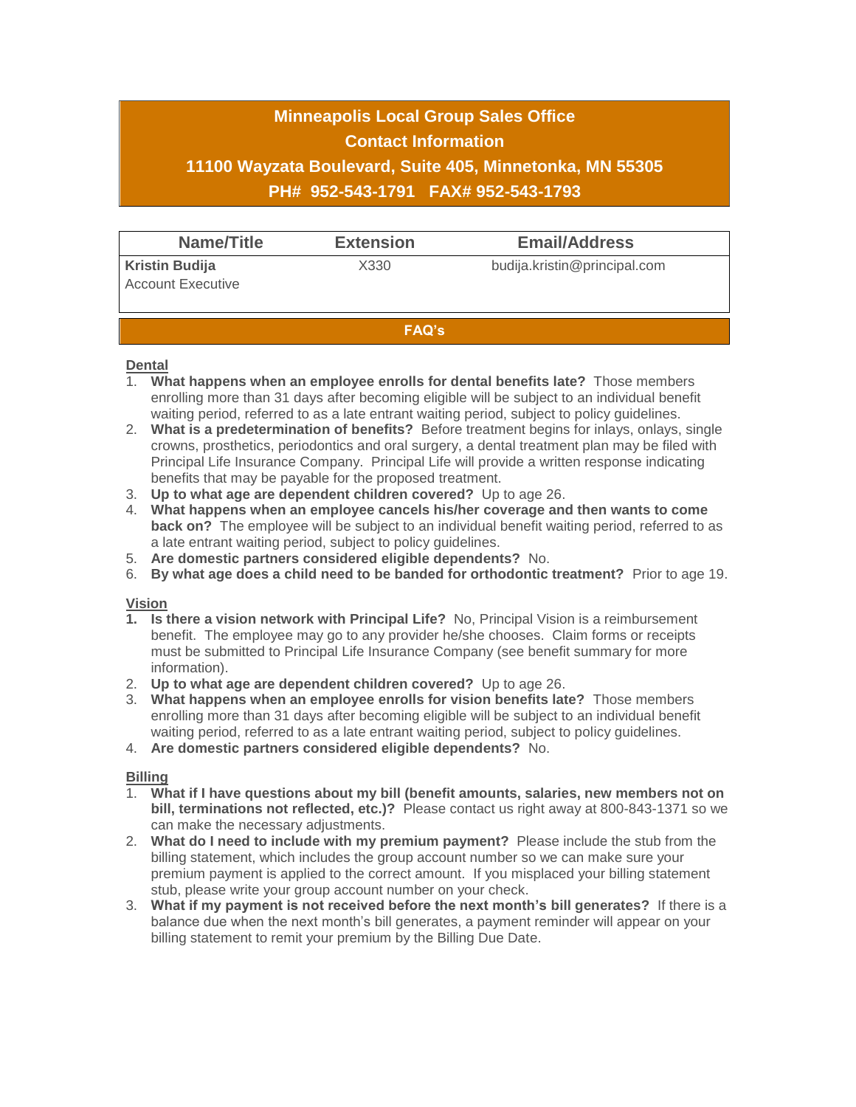# **Minneapolis Local Group Sales Office Contact Information 11100 Wayzata Boulevard, Suite 405, Minnetonka, MN 55305 PH# 952-543-1791 FAX# 952-543-1793**

| Name/Title                                        | <b>Extension</b> | <b>Email/Address</b>         |  |  |
|---------------------------------------------------|------------------|------------------------------|--|--|
| <b>Kristin Budija</b><br><b>Account Executive</b> | X330             | budija.kristin@principal.com |  |  |
| <b>FAQ's</b>                                      |                  |                              |  |  |

#### **Dental**

- 1. **What happens when an employee enrolls for dental benefits late?** Those members enrolling more than 31 days after becoming eligible will be subject to an individual benefit waiting period, referred to as a late entrant waiting period, subject to policy guidelines.
- 2. **What is a predetermination of benefits?** Before treatment begins for inlays, onlays, single crowns, prosthetics, periodontics and oral surgery, a dental treatment plan may be filed with Principal Life Insurance Company. Principal Life will provide a written response indicating benefits that may be payable for the proposed treatment.
- 3. **Up to what age are dependent children covered?** Up to age 26.
- 4. **What happens when an employee cancels his/her coverage and then wants to come back on?** The employee will be subject to an individual benefit waiting period, referred to as a late entrant waiting period, subject to policy guidelines.
- 5. **Are domestic partners considered eligible dependents?** No.
- 6. **By what age does a child need to be banded for orthodontic treatment?** Prior to age 19.

### **Vision**

- **1. Is there a vision network with Principal Life?** No, Principal Vision is a reimbursement benefit. The employee may go to any provider he/she chooses. Claim forms or receipts must be submitted to Principal Life Insurance Company (see benefit summary for more information).
- 2. **Up to what age are dependent children covered?** Up to age 26.
- 3. **What happens when an employee enrolls for vision benefits late?** Those members enrolling more than 31 days after becoming eligible will be subject to an individual benefit waiting period, referred to as a late entrant waiting period, subject to policy guidelines.
- 4. **Are domestic partners considered eligible dependents?** No.

### **Billing**

- 1. **What if I have questions about my bill (benefit amounts, salaries, new members not on bill, terminations not reflected, etc.)?** Please contact us right away at 800-843-1371 so we can make the necessary adjustments.
- 2. **What do I need to include with my premium payment?** Please include the stub from the billing statement, which includes the group account number so we can make sure your premium payment is applied to the correct amount. If you misplaced your billing statement stub, please write your group account number on your check.
- 3. **What if my payment is not received before the next month's bill generates?** If there is a balance due when the next month's bill generates, a payment reminder will appear on your billing statement to remit your premium by the Billing Due Date.